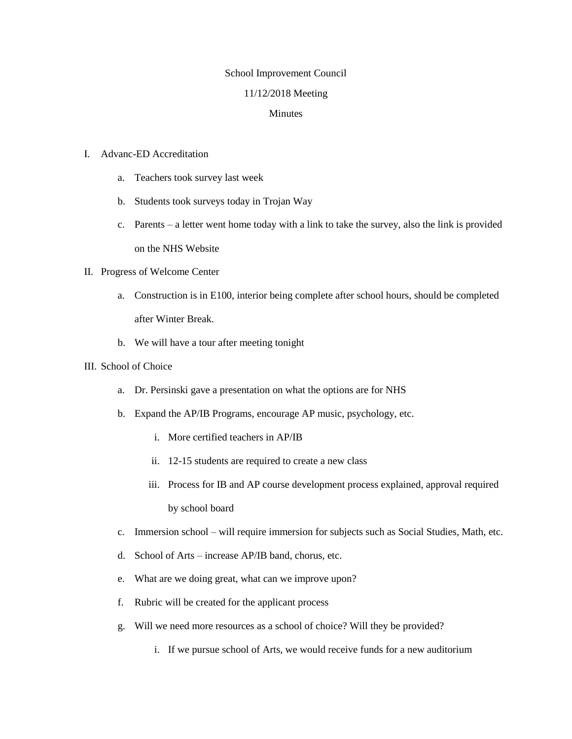## School Improvement Council

### 11/12/2018 Meeting

#### Minutes

## I. Advanc-ED Accreditation

- a. Teachers took survey last week
- b. Students took surveys today in Trojan Way
- c. Parents a letter went home today with a link to take the survey, also the link is provided on the NHS Website

## II. Progress of Welcome Center

- a. Construction is in E100, interior being complete after school hours, should be completed after Winter Break.
- b. We will have a tour after meeting tonight

## III. School of Choice

- a. Dr. Persinski gave a presentation on what the options are for NHS
- b. Expand the AP/IB Programs, encourage AP music, psychology, etc.
	- i. More certified teachers in AP/IB
	- ii. 12-15 students are required to create a new class
	- iii. Process for IB and AP course development process explained, approval required by school board
- c. Immersion school will require immersion for subjects such as Social Studies, Math, etc.
- d. School of Arts increase AP/IB band, chorus, etc.
- e. What are we doing great, what can we improve upon?
- f. Rubric will be created for the applicant process
- g. Will we need more resources as a school of choice? Will they be provided?
	- i. If we pursue school of Arts, we would receive funds for a new auditorium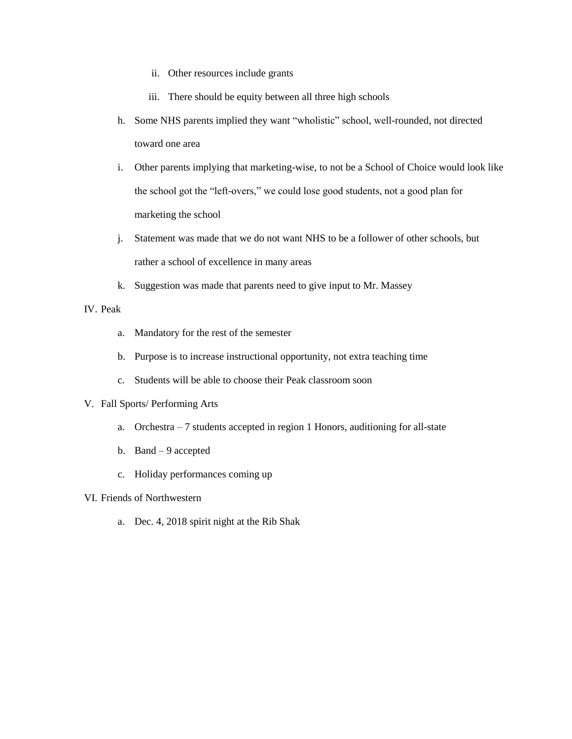- ii. Other resources include grants
- iii. There should be equity between all three high schools
- h. Some NHS parents implied they want "wholistic" school, well-rounded, not directed toward one area
- i. Other parents implying that marketing-wise, to not be a School of Choice would look like the school got the "left-overs," we could lose good students, not a good plan for marketing the school
- j. Statement was made that we do not want NHS to be a follower of other schools, but rather a school of excellence in many areas
- k. Suggestion was made that parents need to give input to Mr. Massey

# IV. Peak

- a. Mandatory for the rest of the semester
- b. Purpose is to increase instructional opportunity, not extra teaching time
- c. Students will be able to choose their Peak classroom soon

### V. Fall Sports/ Performing Arts

- a. Orchestra 7 students accepted in region 1 Honors, auditioning for all-state
- b. Band 9 accepted
- c. Holiday performances coming up

## VI. Friends of Northwestern

a. Dec. 4, 2018 spirit night at the Rib Shak